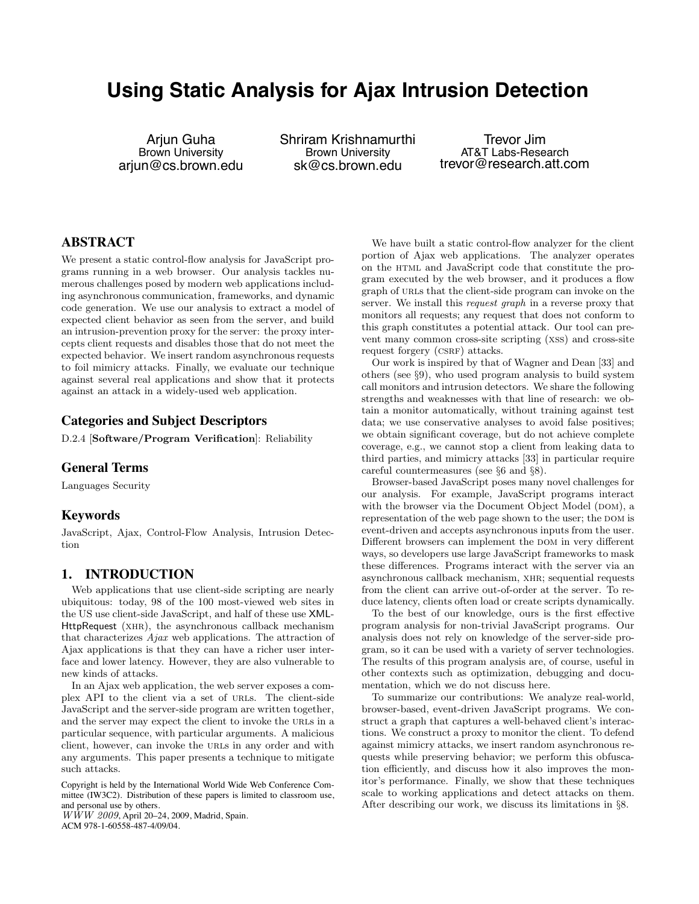# **Using Static Analysis for Ajax Intrusion Detection**

Arjun Guha Brown University arjun@cs.brown.edu Shriram Krishnamurthi Brown University sk@cs.brown.edu

Trevor Jim AT&T Labs-Research trevor@research.att.com

## **ABSTRACT**

We present a static control-flow analysis for JavaScript programs running in a web browser. Our analysis tackles numerous challenges posed by modern web applications including asynchronous communication, frameworks, and dynamic code generation. We use our analysis to extract a model of expected client behavior as seen from the server, and build an intrusion-prevention proxy for the server: the proxy intercepts client requests and disables those that do not meet the expected behavior. We insert random asynchronous requests to foil mimicry attacks. Finally, we evaluate our technique against several real applications and show that it protects against an attack in a widely-used web application.

## **Categories and Subject Descriptors**

D.2.4 [**Software/Program Verification**]: Reliability

## **General Terms**

Languages Security

### **Keywords**

JavaScript, Ajax, Control-Flow Analysis, Intrusion Detection

## **1. INTRODUCTION**

Web applications that use client-side scripting are nearly ubiquitous: today, 98 of the 100 most-viewed web sites in the US use client-side JavaScript, and half of these use XML-HttpRequest (XHR), the asynchronous callback mechanism that characterizes *Ajax* web applications. The attraction of Ajax applications is that they can have a richer user interface and lower latency. However, they are also vulnerable to new kinds of attacks.

In an Ajax web application, the web server exposes a complex API to the client via a set of URLS. The client-side JavaScript and the server-side program are written together, and the server may expect the client to invoke the URLs in a particular sequence, with particular arguments. A malicious client, however, can invoke the URLs in any order and with any arguments. This paper presents a technique to mitigate such attacks.

Copyright is held by the International World Wide Web Conference Committee (IW3C2). Distribution of these papers is limited to classroom use, and personal use by others.

*WWW 2009*, April 20–24, 2009, Madrid, Spain. ACM 978-1-60558-487-4/09/04.

We have built a static control-flow analyzer for the client portion of Ajax web applications. The analyzer operates on the HTML and JavaScript code that constitute the program executed by the web browser, and it produces a flow graph of URLs that the client-side program can invoke on the server. We install this *request graph* in a reverse proxy that monitors all requests; any request that does not conform to this graph constitutes a potential attack. Our tool can prevent many common cross-site scripting (xss) and cross-site request forgery (CSRF) attacks.

Our work is inspired by that of Wagner and Dean [33] and others (see *§*9), who used program analysis to build system call monitors and intrusion detectors. We share the following strengths and weaknesses with that line of research: we obtain a monitor automatically, without training against test data; we use conservative analyses to avoid false positives; we obtain significant coverage, but do not achieve complete coverage, e.g., we cannot stop a client from leaking data to third parties, and mimicry attacks [33] in particular require careful countermeasures (see *§*6 and *§*8).

Browser-based JavaScript poses many novel challenges for our analysis. For example, JavaScript programs interact with the browser via the Document Object Model (DOM), a representation of the web page shown to the user; the DOM is event-driven and accepts asynchronous inputs from the user. Different browsers can implement the DOM in very different ways, so developers use large JavaScript frameworks to mask these differences. Programs interact with the server via an asynchronous callback mechanism, XHR; sequential requests from the client can arrive out-of-order at the server. To reduce latency, clients often load or create scripts dynamically.

To the best of our knowledge, ours is the first effective program analysis for non-trivial JavaScript programs. Our analysis does not rely on knowledge of the server-side program, so it can be used with a variety of server technologies. The results of this program analysis are, of course, useful in other contexts such as optimization, debugging and documentation, which we do not discuss here.

To summarize our contributions: We analyze real-world, browser-based, event-driven JavaScript programs. We construct a graph that captures a well-behaved client's interactions. We construct a proxy to monitor the client. To defend against mimicry attacks, we insert random asynchronous requests while preserving behavior; we perform this obfuscation efficiently, and discuss how it also improves the monitor's performance. Finally, we show that these techniques scale to working applications and detect attacks on them. After describing our work, we discuss its limitations in *§*8.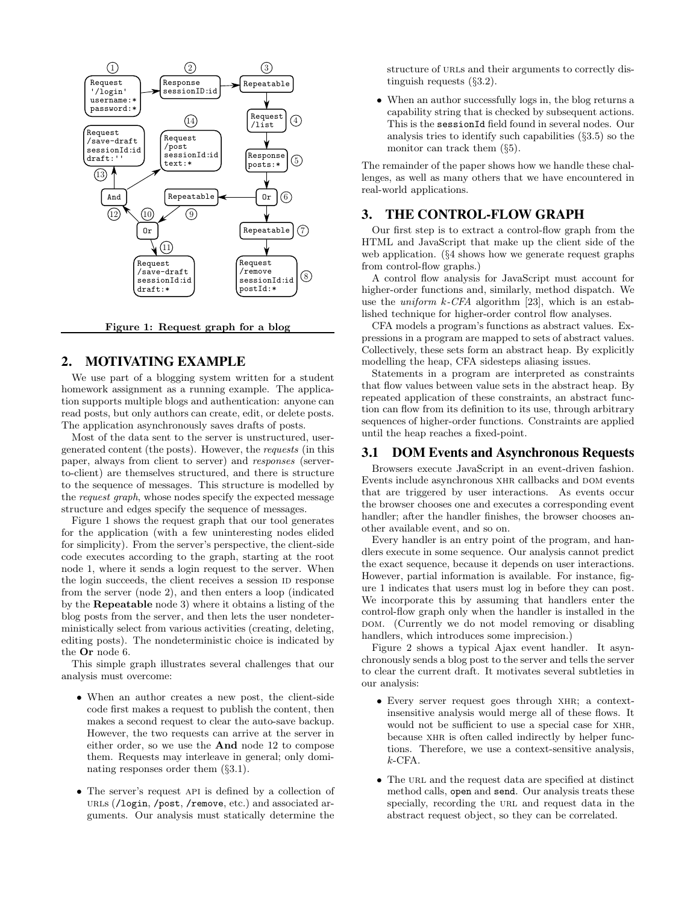

**Figure 1: Request graph for a blog**

#### **2. MOTIVATING EXAMPLE**

We use part of a blogging system written for a student homework assignment as a running example. The application supports multiple blogs and authentication: anyone can read posts, but only authors can create, edit, or delete posts. The application asynchronously saves drafts of posts.

Most of the data sent to the server is unstructured, usergenerated content (the posts). However, the *requests* (in this paper, always from client to server) and *responses* (serverto-client) are themselves structured, and there is structure to the sequence of messages. This structure is modelled by the *request graph*, whose nodes specify the expected message structure and edges specify the sequence of messages.

Figure 1 shows the request graph that our tool generates for the application (with a few uninteresting nodes elided for simplicity). From the server's perspective, the client-side code executes according to the graph, starting at the root node 1, where it sends a login request to the server. When the login succeeds, the client receives a session  $ID$  response from the server (node 2), and then enters a loop (indicated by the **Repeatable** node 3) where it obtains a listing of the blog posts from the server, and then lets the user nondeterministically select from various activities (creating, deleting, editing posts). The nondeterministic choice is indicated by the **Or** node 6.

This simple graph illustrates several challenges that our analysis must overcome:

- *•* When an author creates a new post, the client-side code first makes a request to publish the content, then makes a second request to clear the auto-save backup. However, the two requests can arrive at the server in either order, so we use the **And** node 12 to compose them. Requests may interleave in general; only dominating responses order them (*§*3.1).
- *•* The server's request api is defined by a collection of urls (/login, /post, /remove, etc.) and associated arguments. Our analysis must statically determine the

structure of URLs and their arguments to correctly distinguish requests (*§*3.2).

• When an author successfully logs in, the blog returns a capability string that is checked by subsequent actions. This is the sessionId field found in several nodes. Our analysis tries to identify such capabilities (*§*3.5) so the monitor can track them (*§*5).

The remainder of the paper shows how we handle these challenges, as well as many others that we have encountered in real-world applications.

## **3. THE CONTROL-FLOW GRAPH**

Our first step is to extract a control-flow graph from the HTML and JavaScript that make up the client side of the web application. (*§*4 shows how we generate request graphs from control-flow graphs.)

A control flow analysis for JavaScript must account for higher-order functions and, similarly, method dispatch. We use the *uniform k-CFA* algorithm [23], which is an established technique for higher-order control flow analyses.

CFA models a program's functions as abstract values. Expressions in a program are mapped to sets of abstract values. Collectively, these sets form an abstract heap. By explicitly modelling the heap, CFA sidesteps aliasing issues.

Statements in a program are interpreted as constraints that flow values between value sets in the abstract heap. By repeated application of these constraints, an abstract function can flow from its definition to its use, through arbitrary sequences of higher-order functions. Constraints are applied until the heap reaches a fixed-point.

## **3.1 DOM Events and Asynchronous Requests**

Browsers execute JavaScript in an event-driven fashion. Events include asynchronous XHR callbacks and DOM events that are triggered by user interactions. As events occur the browser chooses one and executes a corresponding event handler; after the handler finishes, the browser chooses another available event, and so on.

Every handler is an entry point of the program, and handlers execute in some sequence. Our analysis cannot predict the exact sequence, because it depends on user interactions. However, partial information is available. For instance, figure 1 indicates that users must log in before they can post. We incorporate this by assuming that handlers enter the control-flow graph only when the handler is installed in the DOM. (Currently we do not model removing or disabling handlers, which introduces some imprecision.)

Figure 2 shows a typical Ajax event handler. It asynchronously sends a blog post to the server and tells the server to clear the current draft. It motivates several subtleties in our analysis:

- Every server request goes through XHR; a contextinsensitive analysis would merge all of these flows. It would not be sufficient to use a special case for XHR, because xhr is often called indirectly by helper functions. Therefore, we use a context-sensitive analysis, *k*-CFA.
- The URL and the request data are specified at distinct method calls, open and send. Our analysis treats these specially, recording the URL and request data in the abstract request object, so they can be correlated.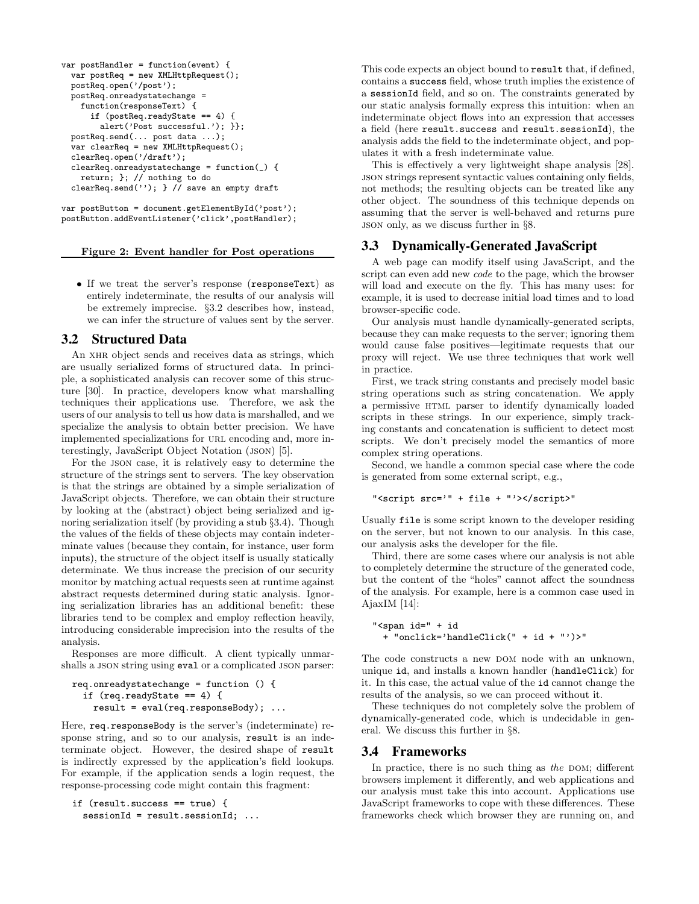```
var postHandler = function(event) {
  var postReq = new XMLHttpRequest();
 postReq.open('/post');
 postReq.onreadystatechange =
   function(responseText) {
      if (postReq.readyState == 4) {
        alert('Post successful.'); }};
 postReq.send(... post data ...);
  var clearReq = new XMLHttpRequest();
 clearReq.open('/draft');
 clearReq.onreadystatechange = function(_) {
   return; }; // nothing to do
  clearReq.send(''); } // save an empty draft
```

```
var postButton = document.getElementById('post');
postButton.addEventListener('click',postHandler);
```
#### **Figure 2: Event handler for Post operations**

*•* If we treat the server's response (responseText) as entirely indeterminate, the results of our analysis will be extremely imprecise. *§*3.2 describes how, instead, we can infer the structure of values sent by the server.

#### **3.2 Structured Data**

An XHR object sends and receives data as strings, which are usually serialized forms of structured data. In principle, a sophisticated analysis can recover some of this structure [30]. In practice, developers know what marshalling techniques their applications use. Therefore, we ask the users of our analysis to tell us how data is marshalled, and we specialize the analysis to obtain better precision. We have implemented specializations for URL encoding and, more interestingly, JavaScript Object Notation (JSON) [5].

For the json case, it is relatively easy to determine the structure of the strings sent to servers. The key observation is that the strings are obtained by a simple serialization of JavaScript objects. Therefore, we can obtain their structure by looking at the (abstract) object being serialized and ignoring serialization itself (by providing a stub *§*3.4). Though the values of the fields of these objects may contain indeterminate values (because they contain, for instance, user form inputs), the structure of the object itself is usually statically determinate. We thus increase the precision of our security monitor by matching actual requests seen at runtime against abstract requests determined during static analysis. Ignoring serialization libraries has an additional benefit: these libraries tend to be complex and employ reflection heavily, introducing considerable imprecision into the results of the analysis.

Responses are more difficult. A client typically unmarshalls a JSON string using eval or a complicated JSON parser:

```
req.onreadystatechange = function () {
  if (req.readyState == 4) {
    result = eval(req.responseBody); ...
```
Here, req.responseBody is the server's (indeterminate) response string, and so to our analysis, result is an indeterminate object. However, the desired shape of result is indirectly expressed by the application's field lookups. For example, if the application sends a login request, the response-processing code might contain this fragment:

```
if (result.success == true) {
 sessionId = result.sessionId; ...
```
This code expects an object bound to result that, if defined, contains a success field, whose truth implies the existence of a sessionId field, and so on. The constraints generated by our static analysis formally express this intuition: when an indeterminate object flows into an expression that accesses a field (here result.success and result.sessionId), the analysis adds the field to the indeterminate object, and populates it with a fresh indeterminate value.

This is effectively a very lightweight shape analysis [28]. json strings represent syntactic values containing only fields, not methods; the resulting objects can be treated like any other object. The soundness of this technique depends on assuming that the server is well-behaved and returns pure json only, as we discuss further in *§*8.

#### **3.3 Dynamically-Generated JavaScript**

A web page can modify itself using JavaScript, and the script can even add new *code* to the page, which the browser will load and execute on the fly. This has many uses: for example, it is used to decrease initial load times and to load browser-specific code.

Our analysis must handle dynamically-generated scripts, because they can make requests to the server; ignoring them would cause false positives—legitimate requests that our proxy will reject. We use three techniques that work well in practice.

First, we track string constants and precisely model basic string operations such as string concatenation. We apply a permissive HTML parser to identify dynamically loaded scripts in these strings. In our experience, simply tracking constants and concatenation is sufficient to detect most scripts. We don't precisely model the semantics of more complex string operations.

Second, we handle a common special case where the code is generated from some external script, e.g.,

```
"<script src='" + file + "'></script>"
```
Usually file is some script known to the developer residing on the server, but not known to our analysis. In this case, our analysis asks the developer for the file.

Third, there are some cases where our analysis is not able to completely determine the structure of the generated code, but the content of the "holes" cannot affect the soundness of the analysis. For example, here is a common case used in AjaxIM [14]:

```
"<span id=" + id
 + "onclick='handleClick(" + id + "')>"
```
The code constructs a new DOM node with an unknown, unique id, and installs a known handler (handleClick) for it. In this case, the actual value of the id cannot change the results of the analysis, so we can proceed without it.

These techniques do not completely solve the problem of dynamically-generated code, which is undecidable in general. We discuss this further in *§*8.

#### **3.4 Frameworks**

In practice, there is no such thing as *the* DOM; different browsers implement it differently, and web applications and our analysis must take this into account. Applications use JavaScript frameworks to cope with these differences. These frameworks check which browser they are running on, and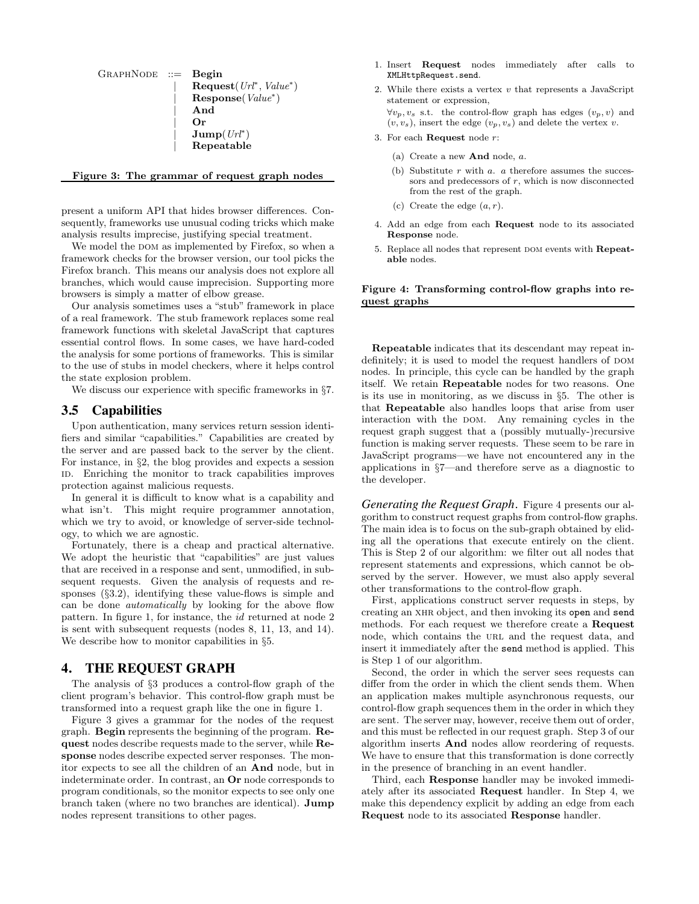

#### **Figure 3: The grammar of request graph nodes**

present a uniform API that hides browser differences. Consequently, frameworks use unusual coding tricks which make analysis results imprecise, justifying special treatment.

We model the DOM as implemented by Firefox, so when a framework checks for the browser version, our tool picks the Firefox branch. This means our analysis does not explore all branches, which would cause imprecision. Supporting more browsers is simply a matter of elbow grease.

Our analysis sometimes uses a "stub" framework in place of a real framework. The stub framework replaces some real framework functions with skeletal JavaScript that captures essential control flows. In some cases, we have hard-coded the analysis for some portions of frameworks. This is similar to the use of stubs in model checkers, where it helps control the state explosion problem.

We discuss our experience with specific frameworks in *§*7.

### **3.5 Capabilities**

Upon authentication, many services return session identifiers and similar "capabilities." Capabilities are created by the server and are passed back to the server by the client. For instance, in *§*2, the blog provides and expects a session ID. Enriching the monitor to track capabilities improves protection against malicious requests.

In general it is difficult to know what is a capability and what isn't. This might require programmer annotation, which we try to avoid, or knowledge of server-side technology, to which we are agnostic.

Fortunately, there is a cheap and practical alternative. We adopt the heuristic that "capabilities" are just values that are received in a response and sent, unmodified, in subsequent requests. Given the analysis of requests and responses (*§*3.2), identifying these value-flows is simple and can be done *automatically* by looking for the above flow pattern. In figure 1, for instance, the *id* returned at node 2 is sent with subsequent requests (nodes 8, 11, 13, and 14). We describe how to monitor capabilities in *§*5.

## **4. THE REQUEST GRAPH**

The analysis of *§*3 produces a control-flow graph of the client program's behavior. This control-flow graph must be transformed into a request graph like the one in figure 1.

Figure 3 gives a grammar for the nodes of the request graph. **Begin** represents the beginning of the program. **Request** nodes describe requests made to the server, while **Response** nodes describe expected server responses. The monitor expects to see all the children of an **And** node, but in indeterminate order. In contrast, an **Or** node corresponds to program conditionals, so the monitor expects to see only one branch taken (where no two branches are identical). **Jump** nodes represent transitions to other pages.

- 1. Insert **Request** nodes immediately after calls to XMLHttpRequest.send.
- 2. While there exists a vertex *v* that represents a JavaScript statement or expression,  $\forall v_p, v_s$  s.t. the control-flow graph has edges  $(v_p, v)$  and  $(v, v_s)$ , insert the edge  $(v_p, v_s)$  and delete the vertex  $v$ .
- 3. For each **Request** node *r*:
	- (a) Create a new **And** node, *a*.
	- (b) Substitute *r* with *a*. *a* therefore assumes the successors and predecessors of *r*, which is now disconnected from the rest of the graph.
	- (c) Create the edge (*a, r*).
- 4. Add an edge from each **Request** node to its associated **Response** node.
- 5. Replace all nodes that represent dom events with **Repeatable** nodes.

**Figure 4: Transforming control-flow graphs into request graphs**

**Repeatable** indicates that its descendant may repeat indefinitely; it is used to model the request handlers of DOM nodes. In principle, this cycle can be handled by the graph itself. We retain **Repeatable** nodes for two reasons. One is its use in monitoring, as we discuss in *§*5. The other is that **Repeatable** also handles loops that arise from user interaction with the DOM. Any remaining cycles in the request graph suggest that a (possibly mutually-)recursive function is making server requests. These seem to be rare in JavaScript programs—we have not encountered any in the applications in *§*7—and therefore serve as a diagnostic to the developer.

*Generating the Request Graph.* Figure 4 presents our algorithm to construct request graphs from control-flow graphs. The main idea is to focus on the sub-graph obtained by eliding all the operations that execute entirely on the client. This is Step 2 of our algorithm: we filter out all nodes that represent statements and expressions, which cannot be observed by the server. However, we must also apply several other transformations to the control-flow graph.

First, applications construct server requests in steps, by creating an xhr object, and then invoking its open and send methods. For each request we therefore create a **Request** node, which contains the URL and the request data, and insert it immediately after the send method is applied. This is Step 1 of our algorithm.

Second, the order in which the server sees requests can differ from the order in which the client sends them. When an application makes multiple asynchronous requests, our control-flow graph sequences them in the order in which they are sent. The server may, however, receive them out of order, and this must be reflected in our request graph. Step 3 of our algorithm inserts **And** nodes allow reordering of requests. We have to ensure that this transformation is done correctly in the presence of branching in an event handler.

Third, each **Response** handler may be invoked immediately after its associated **Request** handler. In Step 4, we make this dependency explicit by adding an edge from each **Request** node to its associated **Response** handler.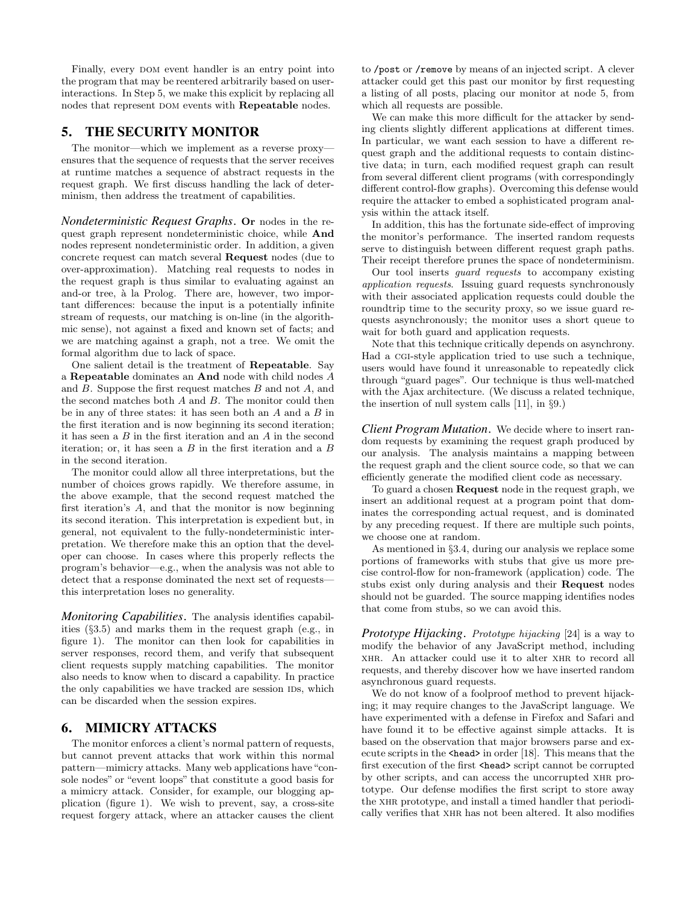Finally, every DOM event handler is an entry point into the program that may be reentered arbitrarily based on userinteractions. In Step 5, we make this explicit by replacing all nodes that represent DOM events with **Repeatable** nodes.

## **5. THE SECURITY MONITOR**

The monitor—which we implement as a reverse proxy ensures that the sequence of requests that the server receives at runtime matches a sequence of abstract requests in the request graph. We first discuss handling the lack of determinism, then address the treatment of capabilities.

*Nondeterministic Request Graphs.* **Or** nodes in the request graph represent nondeterministic choice, while **And** nodes represent nondeterministic order. In addition, a given concrete request can match several **Request** nodes (due to over-approximation). Matching real requests to nodes in the request graph is thus similar to evaluating against an and-or tree, à la Prolog. There are, however, two important differences: because the input is a potentially infinite stream of requests, our matching is on-line (in the algorithmic sense), not against a fixed and known set of facts; and we are matching against a graph, not a tree. We omit the formal algorithm due to lack of space.

One salient detail is the treatment of **Repeatable**. Say a **Repeatable** dominates an **And** node with child nodes *A* and *B*. Suppose the first request matches *B* and not *A*, and the second matches both *A* and *B*. The monitor could then be in any of three states: it has seen both an *A* and a *B* in the first iteration and is now beginning its second iteration; it has seen a *B* in the first iteration and an *A* in the second iteration; or, it has seen a *B* in the first iteration and a *B* in the second iteration.

The monitor could allow all three interpretations, but the number of choices grows rapidly. We therefore assume, in the above example, that the second request matched the first iteration's *A*, and that the monitor is now beginning its second iteration. This interpretation is expedient but, in general, not equivalent to the fully-nondeterministic interpretation. We therefore make this an option that the developer can choose. In cases where this properly reflects the program's behavior—e.g., when the analysis was not able to detect that a response dominated the next set of requests this interpretation loses no generality.

*Monitoring Capabilities.* The analysis identifies capabilities (*§*3.5) and marks them in the request graph (e.g., in figure 1). The monitor can then look for capabilities in server responses, record them, and verify that subsequent client requests supply matching capabilities. The monitor also needs to know when to discard a capability. In practice the only capabilities we have tracked are session ids, which can be discarded when the session expires.

## **6. MIMICRY ATTACKS**

The monitor enforces a client's normal pattern of requests, but cannot prevent attacks that work within this normal pattern—mimicry attacks. Many web applications have"console nodes" or "event loops" that constitute a good basis for a mimicry attack. Consider, for example, our blogging application (figure 1). We wish to prevent, say, a cross-site request forgery attack, where an attacker causes the client

to /post or /remove by means of an injected script. A clever attacker could get this past our monitor by first requesting a listing of all posts, placing our monitor at node 5, from which all requests are possible.

We can make this more difficult for the attacker by sending clients slightly different applications at different times. In particular, we want each session to have a different request graph and the additional requests to contain distinctive data; in turn, each modified request graph can result from several different client programs (with correspondingly different control-flow graphs). Overcoming this defense would require the attacker to embed a sophisticated program analysis within the attack itself.

In addition, this has the fortunate side-effect of improving the monitor's performance. The inserted random requests serve to distinguish between different request graph paths. Their receipt therefore prunes the space of nondeterminism.

Our tool inserts *guard requests* to accompany existing *application requests*. Issuing guard requests synchronously with their associated application requests could double the roundtrip time to the security proxy, so we issue guard requests asynchronously; the monitor uses a short queue to wait for both guard and application requests.

Note that this technique critically depends on asynchrony. Had a cgi-style application tried to use such a technique, users would have found it unreasonable to repeatedly click through "guard pages". Our technique is thus well-matched with the Ajax architecture. (We discuss a related technique, the insertion of null system calls [11], in *§*9.)

*Client Program Mutation.* We decide where to insert random requests by examining the request graph produced by our analysis. The analysis maintains a mapping between the request graph and the client source code, so that we can efficiently generate the modified client code as necessary.

To guard a chosen **Request** node in the request graph, we insert an additional request at a program point that dominates the corresponding actual request, and is dominated by any preceding request. If there are multiple such points, we choose one at random.

As mentioned in *§*3.4, during our analysis we replace some portions of frameworks with stubs that give us more precise control-flow for non-framework (application) code. The stubs exist only during analysis and their **Request** nodes should not be guarded. The source mapping identifies nodes that come from stubs, so we can avoid this.

*Prototype Hijacking. Prototype hijacking* [24] is a way to modify the behavior of any JavaScript method, including xhr. An attacker could use it to alter xhr to record all requests, and thereby discover how we have inserted random asynchronous guard requests.

We do not know of a foolproof method to prevent hijacking; it may require changes to the JavaScript language. We have experimented with a defense in Firefox and Safari and have found it to be effective against simple attacks. It is based on the observation that major browsers parse and execute scripts in the <head> in order [18]. This means that the first execution of the first <head> script cannot be corrupted by other scripts, and can access the uncorrupted xhr prototype. Our defense modifies the first script to store away the XHR prototype, and install a timed handler that periodically verifies that XHR has not been altered. It also modifies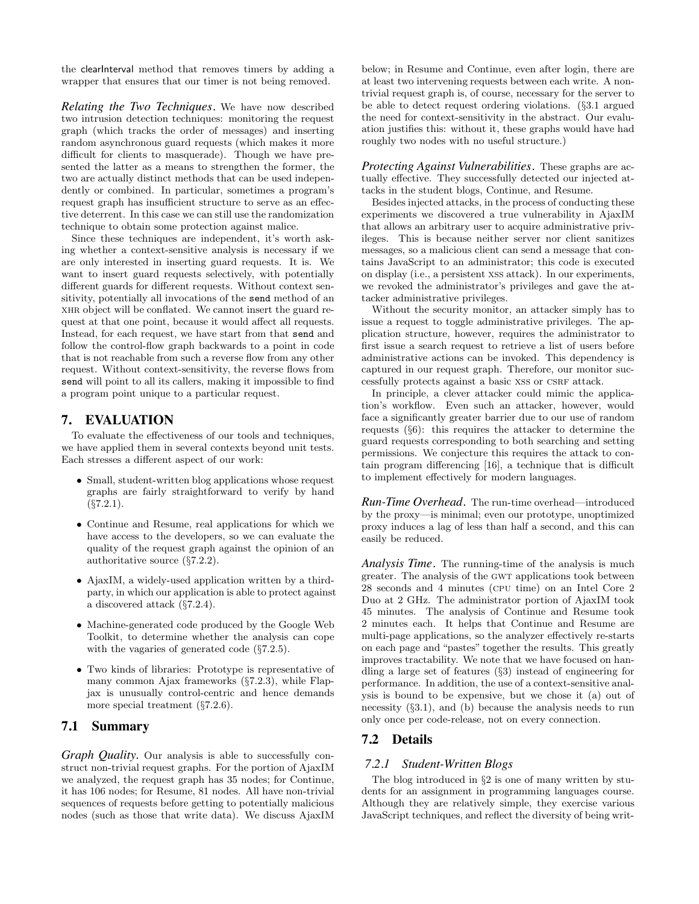the clearInterval method that removes timers by adding a wrapper that ensures that our timer is not being removed.

*Relating the Two Techniques.* We have now described two intrusion detection techniques: monitoring the request graph (which tracks the order of messages) and inserting random asynchronous guard requests (which makes it more difficult for clients to masquerade). Though we have presented the latter as a means to strengthen the former, the two are actually distinct methods that can be used independently or combined. In particular, sometimes a program's request graph has insufficient structure to serve as an effective deterrent. In this case we can still use the randomization technique to obtain some protection against malice.

Since these techniques are independent, it's worth asking whether a context-sensitive analysis is necessary if we are only interested in inserting guard requests. It is. We want to insert guard requests selectively, with potentially different guards for different requests. Without context sensitivity, potentially all invocations of the send method of an xhr object will be conflated. We cannot insert the guard request at that one point, because it would affect all requests. Instead, for each request, we have start from that send and follow the control-flow graph backwards to a point in code that is not reachable from such a reverse flow from any other request. Without context-sensitivity, the reverse flows from send will point to all its callers, making it impossible to find a program point unique to a particular request.

## **7. EVALUATION**

To evaluate the effectiveness of our tools and techniques, we have applied them in several contexts beyond unit tests. Each stresses a different aspect of our work:

- *•* Small, student-written blog applications whose request graphs are fairly straightforward to verify by hand (*§*7.2.1).
- *•* Continue and Resume, real applications for which we have access to the developers, so we can evaluate the quality of the request graph against the opinion of an authoritative source (*§*7.2.2).
- *•* AjaxIM, a widely-used application written by a thirdparty, in which our application is able to protect against a discovered attack (*§*7.2.4).
- *•* Machine-generated code produced by the Google Web Toolkit, to determine whether the analysis can cope with the vagaries of generated code (*§*7.2.5).
- *•* Two kinds of libraries: Prototype is representative of many common Ajax frameworks (*§*7.2.3), while Flapjax is unusually control-centric and hence demands more special treatment (*§*7.2.6).

## **7.1 Summary**

*Graph Quality.* Our analysis is able to successfully construct non-trivial request graphs. For the portion of AjaxIM we analyzed, the request graph has 35 nodes; for Continue, it has 106 nodes; for Resume, 81 nodes. All have non-trivial sequences of requests before getting to potentially malicious nodes (such as those that write data). We discuss AjaxIM

below; in Resume and Continue, even after login, there are at least two intervening requests between each write. A nontrivial request graph is, of course, necessary for the server to be able to detect request ordering violations. (*§*3.1 argued the need for context-sensitivity in the abstract. Our evaluation justifies this: without it, these graphs would have had roughly two nodes with no useful structure.)

*Protecting Against Vulnerabilities.* These graphs are actually effective. They successfully detected our injected attacks in the student blogs, Continue, and Resume.

Besides injected attacks, in the process of conducting these experiments we discovered a true vulnerability in AjaxIM that allows an arbitrary user to acquire administrative privileges. This is because neither server nor client sanitizes messages, so a malicious client can send a message that contains JavaScript to an administrator; this code is executed on display (i.e., a persistent xss attack). In our experiments, we revoked the administrator's privileges and gave the attacker administrative privileges.

Without the security monitor, an attacker simply has to issue a request to toggle administrative privileges. The application structure, however, requires the administrator to first issue a search request to retrieve a list of users before administrative actions can be invoked. This dependency is captured in our request graph. Therefore, our monitor successfully protects against a basic xss or CSRF attack.

In principle, a clever attacker could mimic the application's workflow. Even such an attacker, however, would face a significantly greater barrier due to our use of random requests (*§*6): this requires the attacker to determine the guard requests corresponding to both searching and setting permissions. We conjecture this requires the attack to contain program differencing [16], a technique that is difficult to implement effectively for modern languages.

*Run-Time Overhead.* The run-time overhead—introduced by the proxy—is minimal; even our prototype, unoptimized proxy induces a lag of less than half a second, and this can easily be reduced.

*Analysis Time.* The running-time of the analysis is much greater. The analysis of the gwt applications took between 28 seconds and 4 minutes (cpu time) on an Intel Core 2 Duo at 2 GHz. The administrator portion of AjaxIM took 45 minutes. The analysis of Continue and Resume took 2 minutes each. It helps that Continue and Resume are multi-page applications, so the analyzer effectively re-starts on each page and "pastes" together the results. This greatly improves tractability. We note that we have focused on handling a large set of features (*§*3) instead of engineering for performance. In addition, the use of a context-sensitive analysis is bound to be expensive, but we chose it (a) out of necessity (*§*3.1), and (b) because the analysis needs to run only once per code-release, not on every connection.

## **7.2 Details**

#### *7.2.1 Student-Written Blogs*

The blog introduced in *§*2 is one of many written by students for an assignment in programming languages course. Although they are relatively simple, they exercise various JavaScript techniques, and reflect the diversity of being writ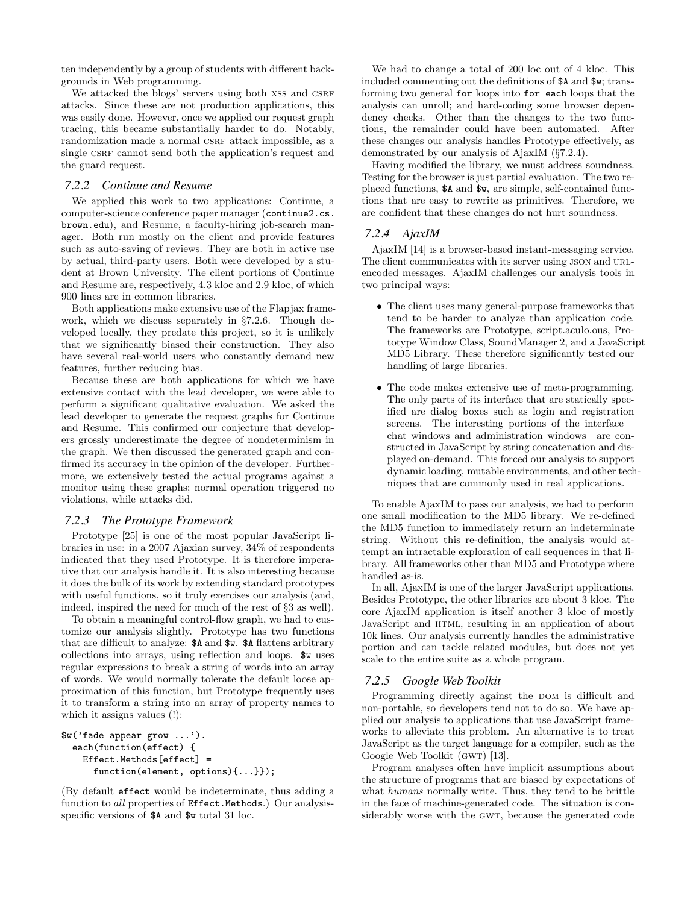ten independently by a group of students with different backgrounds in Web programming.

We attacked the blogs' servers using both XSS and CSRF attacks. Since these are not production applications, this was easily done. However, once we applied our request graph tracing, this became substantially harder to do. Notably, randomization made a normal CSRF attack impossible, as a single CSRF cannot send both the application's request and the guard request.

### *7.2.2 Continue and Resume*

We applied this work to two applications: Continue, a computer-science conference paper manager (continue2.cs. brown.edu), and Resume, a faculty-hiring job-search manager. Both run mostly on the client and provide features such as auto-saving of reviews. They are both in active use by actual, third-party users. Both were developed by a student at Brown University. The client portions of Continue and Resume are, respectively, 4.3 kloc and 2.9 kloc, of which 900 lines are in common libraries.

Both applications make extensive use of the Flapjax framework, which we discuss separately in *§*7.2.6. Though developed locally, they predate this project, so it is unlikely that we significantly biased their construction. They also have several real-world users who constantly demand new features, further reducing bias.

Because these are both applications for which we have extensive contact with the lead developer, we were able to perform a significant qualitative evaluation. We asked the lead developer to generate the request graphs for Continue and Resume. This confirmed our conjecture that developers grossly underestimate the degree of nondeterminism in the graph. We then discussed the generated graph and confirmed its accuracy in the opinion of the developer. Furthermore, we extensively tested the actual programs against a monitor using these graphs; normal operation triggered no violations, while attacks did.

#### *7.2.3 The Prototype Framework*

Prototype [25] is one of the most popular JavaScript libraries in use: in a 2007 Ajaxian survey, 34% of respondents indicated that they used Prototype. It is therefore imperative that our analysis handle it. It is also interesting because it does the bulk of its work by extending standard prototypes with useful functions, so it truly exercises our analysis (and, indeed, inspired the need for much of the rest of *§*3 as well).

To obtain a meaningful control-flow graph, we had to customize our analysis slightly. Prototype has two functions that are difficult to analyze:  $A$  and  $w$ .  $A$  flattens arbitrary collections into arrays, using reflection and loops. \$w uses regular expressions to break a string of words into an array of words. We would normally tolerate the default loose approximation of this function, but Prototype frequently uses it to transform a string into an array of property names to which it assigns values (!):

```
$w('fade appear grow ...').
 each(function(effect) {
    Effect.Methods[effect] =
      function(element, options){...}});
```
(By default effect would be indeterminate, thus adding a function to *all* properties of **Effect**.Methods.) Our analysisspecific versions of \$A and \$w total 31 loc.

We had to change a total of 200 loc out of 4 kloc. This included commenting out the definitions of \$A and \$w; transforming two general for loops into for each loops that the analysis can unroll; and hard-coding some browser dependency checks. Other than the changes to the two functions, the remainder could have been automated. After these changes our analysis handles Prototype effectively, as demonstrated by our analysis of AjaxIM (*§*7.2.4).

Having modified the library, we must address soundness. Testing for the browser is just partial evaluation. The two replaced functions, \$A and \$w, are simple, self-contained functions that are easy to rewrite as primitives. Therefore, we are confident that these changes do not hurt soundness.

#### *7.2.4 AjaxIM*

AjaxIM [14] is a browser-based instant-messaging service. The client communicates with its server using JSON and URLencoded messages. AjaxIM challenges our analysis tools in two principal ways:

- *•* The client uses many general-purpose frameworks that tend to be harder to analyze than application code. The frameworks are Prototype, script.aculo.ous, Prototype Window Class, SoundManager 2, and a JavaScript MD5 Library. These therefore significantly tested our handling of large libraries.
- *•* The code makes extensive use of meta-programming. The only parts of its interface that are statically specified are dialog boxes such as login and registration screens. The interesting portions of the interfacechat windows and administration windows—are constructed in JavaScript by string concatenation and displayed on-demand. This forced our analysis to support dynamic loading, mutable environments, and other techniques that are commonly used in real applications.

To enable AjaxIM to pass our analysis, we had to perform one small modification to the MD5 library. We re-defined the MD5 function to immediately return an indeterminate string. Without this re-definition, the analysis would attempt an intractable exploration of call sequences in that library. All frameworks other than MD5 and Prototype where handled as-is.

In all, AjaxIM is one of the larger JavaScript applications. Besides Prototype, the other libraries are about 3 kloc. The core AjaxIM application is itself another 3 kloc of mostly JavaScript and html, resulting in an application of about 10k lines. Our analysis currently handles the administrative portion and can tackle related modules, but does not yet scale to the entire suite as a whole program.

#### *7.2.5 Google Web Toolkit*

Programming directly against the DOM is difficult and non-portable, so developers tend not to do so. We have applied our analysis to applications that use JavaScript frameworks to alleviate this problem. An alternative is to treat JavaScript as the target language for a compiler, such as the Google Web Toolkit (gwt) [13].

Program analyses often have implicit assumptions about the structure of programs that are biased by expectations of what *humans* normally write. Thus, they tend to be brittle in the face of machine-generated code. The situation is considerably worse with the GWT, because the generated code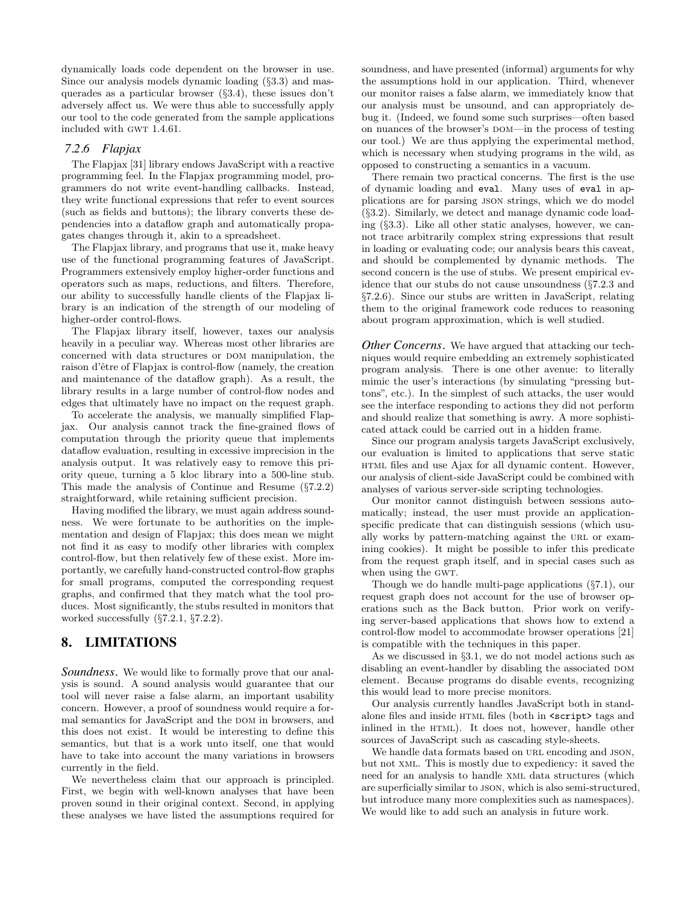dynamically loads code dependent on the browser in use. Since our analysis models dynamic loading (*§*3.3) and masquerades as a particular browser (*§*3.4), these issues don't adversely affect us. We were thus able to successfully apply our tool to the code generated from the sample applications included with GWT 1.4.61.

#### *7.2.6 Flapjax*

The Flapjax [31] library endows JavaScript with a reactive programming feel. In the Flapjax programming model, programmers do not write event-handling callbacks. Instead, they write functional expressions that refer to event sources (such as fields and buttons); the library converts these dependencies into a dataflow graph and automatically propagates changes through it, akin to a spreadsheet.

The Flapjax library, and programs that use it, make heavy use of the functional programming features of JavaScript. Programmers extensively employ higher-order functions and operators such as maps, reductions, and filters. Therefore, our ability to successfully handle clients of the Flapjax library is an indication of the strength of our modeling of higher-order control-flows.

The Flapjax library itself, however, taxes our analysis heavily in a peculiar way. Whereas most other libraries are concerned with data structures or DOM manipulation, the raison d'être of Flapjax is control-flow (namely, the creation and maintenance of the dataflow graph). As a result, the library results in a large number of control-flow nodes and edges that ultimately have no impact on the request graph.

To accelerate the analysis, we manually simplified Flapjax. Our analysis cannot track the fine-grained flows of computation through the priority queue that implements dataflow evaluation, resulting in excessive imprecision in the analysis output. It was relatively easy to remove this priority queue, turning a 5 kloc library into a 500-line stub. This made the analysis of Continue and Resume (*§*7.2.2) straightforward, while retaining sufficient precision.

Having modified the library, we must again address soundness. We were fortunate to be authorities on the implementation and design of Flapjax; this does mean we might not find it as easy to modify other libraries with complex control-flow, but then relatively few of these exist. More importantly, we carefully hand-constructed control-flow graphs for small programs, computed the corresponding request graphs, and confirmed that they match what the tool produces. Most significantly, the stubs resulted in monitors that worked successfully (*§*7.2.1, *§*7.2.2).

## **8. LIMITATIONS**

*Soundness.* We would like to formally prove that our analysis is sound. A sound analysis would guarantee that our tool will never raise a false alarm, an important usability concern. However, a proof of soundness would require a formal semantics for JavaScript and the DOM in browsers, and this does not exist. It would be interesting to define this semantics, but that is a work unto itself, one that would have to take into account the many variations in browsers currently in the field.

We nevertheless claim that our approach is principled. First, we begin with well-known analyses that have been proven sound in their original context. Second, in applying these analyses we have listed the assumptions required for

soundness, and have presented (informal) arguments for why the assumptions hold in our application. Third, whenever our monitor raises a false alarm, we immediately know that our analysis must be unsound, and can appropriately debug it. (Indeed, we found some such surprises—often based on nuances of the browser's DOM—in the process of testing our tool.) We are thus applying the experimental method, which is necessary when studying programs in the wild, as opposed to constructing a semantics in a vacuum.

There remain two practical concerns. The first is the use of dynamic loading and eval. Many uses of eval in applications are for parsing json strings, which we do model (*§*3.2). Similarly, we detect and manage dynamic code loading (*§*3.3). Like all other static analyses, however, we cannot trace arbitrarily complex string expressions that result in loading or evaluating code; our analysis bears this caveat, and should be complemented by dynamic methods. The second concern is the use of stubs. We present empirical evidence that our stubs do not cause unsoundness (*§*7.2.3 and *§*7.2.6). Since our stubs are written in JavaScript, relating them to the original framework code reduces to reasoning about program approximation, which is well studied.

*Other Concerns.* We have argued that attacking our techniques would require embedding an extremely sophisticated program analysis. There is one other avenue: to literally mimic the user's interactions (by simulating "pressing buttons", etc.). In the simplest of such attacks, the user would see the interface responding to actions they did not perform and should realize that something is awry. A more sophisticated attack could be carried out in a hidden frame.

Since our program analysis targets JavaScript exclusively, our evaluation is limited to applications that serve static html files and use Ajax for all dynamic content. However, our analysis of client-side JavaScript could be combined with analyses of various server-side scripting technologies.

Our monitor cannot distinguish between sessions automatically; instead, the user must provide an applicationspecific predicate that can distinguish sessions (which usually works by pattern-matching against the URL or examining cookies). It might be possible to infer this predicate from the request graph itself, and in special cases such as when using the GWT.

Though we do handle multi-page applications (*§*7.1), our request graph does not account for the use of browser operations such as the Back button. Prior work on verifying server-based applications that shows how to extend a control-flow model to accommodate browser operations [21] is compatible with the techniques in this paper.

As we discussed in *§*3.1, we do not model actions such as disabling an event-handler by disabling the associated DOM element. Because programs do disable events, recognizing this would lead to more precise monitors.

Our analysis currently handles JavaScript both in standalone files and inside HTML files (both in <script> tags and inlined in the HTML). It does not, however, handle other sources of JavaScript such as cascading style-sheets.

We handle data formats based on URL encoding and JSON, but not xml. This is mostly due to expediency: it saved the need for an analysis to handle xml data structures (which are superficially similar to json, which is also semi-structured, but introduce many more complexities such as namespaces). We would like to add such an analysis in future work.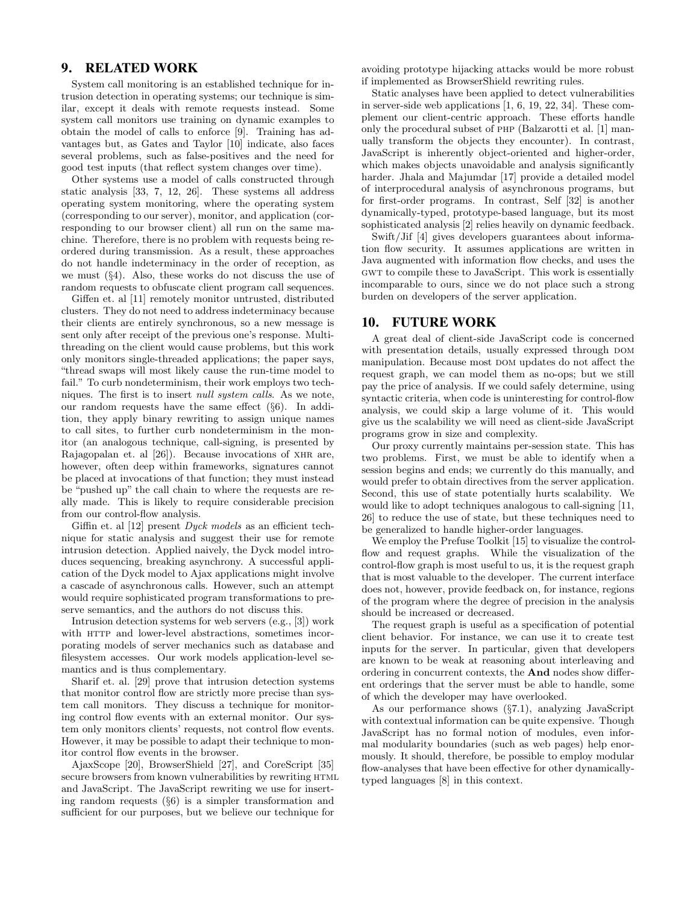## **9. RELATED WORK**

System call monitoring is an established technique for intrusion detection in operating systems; our technique is similar, except it deals with remote requests instead. Some system call monitors use training on dynamic examples to obtain the model of calls to enforce [9]. Training has advantages but, as Gates and Taylor [10] indicate, also faces several problems, such as false-positives and the need for good test inputs (that reflect system changes over time).

Other systems use a model of calls constructed through static analysis [33, 7, 12, 26]. These systems all address operating system monitoring, where the operating system (corresponding to our server), monitor, and application (corresponding to our browser client) all run on the same machine. Therefore, there is no problem with requests being reordered during transmission. As a result, these approaches do not handle indeterminacy in the order of reception, as we must (*§*4). Also, these works do not discuss the use of random requests to obfuscate client program call sequences.

Giffen et. al [11] remotely monitor untrusted, distributed clusters. They do not need to address indeterminacy because their clients are entirely synchronous, so a new message is sent only after receipt of the previous one's response. Multithreading on the client would cause problems, but this work only monitors single-threaded applications; the paper says, "thread swaps will most likely cause the run-time model to fail." To curb nondeterminism, their work employs two techniques. The first is to insert *null system calls*. As we note, our random requests have the same effect (*§*6). In addition, they apply binary rewriting to assign unique names to call sites, to further curb nondeterminism in the monitor (an analogous technique, call-signing, is presented by Rajagopalan et. al [26]). Because invocations of XHR are, however, often deep within frameworks, signatures cannot be placed at invocations of that function; they must instead be "pushed up" the call chain to where the requests are really made. This is likely to require considerable precision from our control-flow analysis.

Giffin et. al [12] present *Dyck models* as an efficient technique for static analysis and suggest their use for remote intrusion detection. Applied naively, the Dyck model introduces sequencing, breaking asynchrony. A successful application of the Dyck model to Ajax applications might involve a cascade of asynchronous calls. However, such an attempt would require sophisticated program transformations to preserve semantics, and the authors do not discuss this.

Intrusion detection systems for web servers (e.g., [3]) work with HTTP and lower-level abstractions, sometimes incorporating models of server mechanics such as database and filesystem accesses. Our work models application-level semantics and is thus complementary.

Sharif et. al. [29] prove that intrusion detection systems that monitor control flow are strictly more precise than system call monitors. They discuss a technique for monitoring control flow events with an external monitor. Our system only monitors clients' requests, not control flow events. However, it may be possible to adapt their technique to monitor control flow events in the browser.

AjaxScope [20], BrowserShield [27], and CoreScript [35] secure browsers from known vulnerabilities by rewriting HTML and JavaScript. The JavaScript rewriting we use for inserting random requests (*§*6) is a simpler transformation and sufficient for our purposes, but we believe our technique for

avoiding prototype hijacking attacks would be more robust if implemented as BrowserShield rewriting rules.

Static analyses have been applied to detect vulnerabilities in server-side web applications [1, 6, 19, 22, 34]. These complement our client-centric approach. These efforts handle only the procedural subset of php (Balzarotti et al. [1] manually transform the objects they encounter). In contrast, JavaScript is inherently object-oriented and higher-order, which makes objects unavoidable and analysis significantly harder. Jhala and Majumdar [17] provide a detailed model of interprocedural analysis of asynchronous programs, but for first-order programs. In contrast, Self [32] is another dynamically-typed, prototype-based language, but its most sophisticated analysis [2] relies heavily on dynamic feedback.

Swift/Jif [4] gives developers guarantees about information flow security. It assumes applications are written in Java augmented with information flow checks, and uses the gwt to compile these to JavaScript. This work is essentially incomparable to ours, since we do not place such a strong burden on developers of the server application.

#### **10. FUTURE WORK**

A great deal of client-side JavaScript code is concerned with presentation details, usually expressed through DOM manipulation. Because most DOM updates do not affect the request graph, we can model them as no-ops; but we still pay the price of analysis. If we could safely determine, using syntactic criteria, when code is uninteresting for control-flow analysis, we could skip a large volume of it. This would give us the scalability we will need as client-side JavaScript programs grow in size and complexity.

Our proxy currently maintains per-session state. This has two problems. First, we must be able to identify when a session begins and ends; we currently do this manually, and would prefer to obtain directives from the server application. Second, this use of state potentially hurts scalability. We would like to adopt techniques analogous to call-signing [11, 26] to reduce the use of state, but these techniques need to be generalized to handle higher-order languages.

We employ the Prefuse Toolkit [15] to visualize the controlflow and request graphs. While the visualization of the control-flow graph is most useful to us, it is the request graph that is most valuable to the developer. The current interface does not, however, provide feedback on, for instance, regions of the program where the degree of precision in the analysis should be increased or decreased.

The request graph is useful as a specification of potential client behavior. For instance, we can use it to create test inputs for the server. In particular, given that developers are known to be weak at reasoning about interleaving and ordering in concurrent contexts, the **And** nodes show different orderings that the server must be able to handle, some of which the developer may have overlooked.

As our performance shows (*§*7.1), analyzing JavaScript with contextual information can be quite expensive. Though JavaScript has no formal notion of modules, even informal modularity boundaries (such as web pages) help enormously. It should, therefore, be possible to employ modular flow-analyses that have been effective for other dynamicallytyped languages [8] in this context.